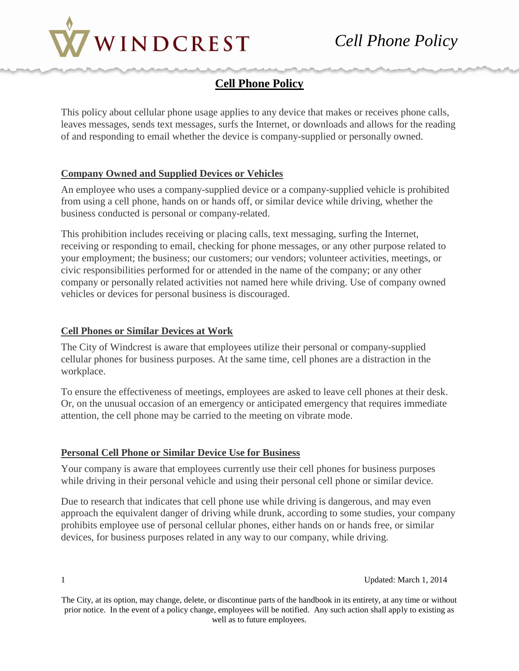

## **Cell Phone Policy**

This policy about cellular phone usage applies to any device that makes or receives phone calls, leaves messages, sends text messages, surfs the Internet, or downloads and allows for the reading of and responding to email whether the device is company-supplied or personally owned.

## **Company Owned and Supplied Devices or Vehicles**

An employee who uses a company-supplied device or a company-supplied vehicle is prohibited from using a cell phone, hands on or hands off, or similar device while driving, whether the business conducted is personal or company-related.

This prohibition includes receiving or placing calls, text messaging, surfing the Internet, receiving or responding to email, checking for phone messages, or any other purpose related to your employment; the business; our customers; our vendors; volunteer activities, meetings, or civic responsibilities performed for or attended in the name of the company; or any other company or personally related activities not named here while driving. Use of company owned vehicles or devices for personal business is discouraged.

## **Cell Phones or Similar Devices at Work**

The City of Windcrest is aware that employees utilize their personal or company-supplied cellular phones for business purposes. At the same time, cell phones are a distraction in the workplace.

To ensure the effectiveness of meetings, employees are asked to leave cell phones at their desk. Or, on the unusual occasion of an emergency or anticipated emergency that requires immediate attention, the cell phone may be carried to the meeting on vibrate mode.

## **Personal Cell Phone or Similar Device Use for Business**

Your company is aware that employees currently use their cell phones for business purposes while driving in their personal vehicle and using their personal cell phone or similar device.

Due to research that indicates that cell phone use while driving is dangerous, and may even approach the equivalent danger of driving while drunk, according to some studies, your company prohibits employee use of personal cellular phones, either hands on or hands free, or similar devices, for business purposes related in any way to our company, while driving.

The City, at its option, may change, delete, or discontinue parts of the handbook in its entirety, at any time or without prior notice. In the event of a policy change, employees will be notified. Any such action shall apply to existing as well as to future employees.